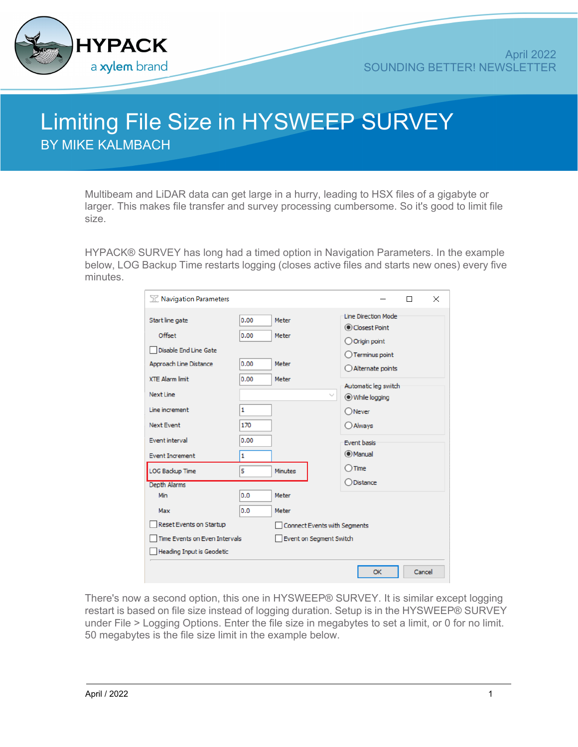

## Limiting File Size in HYSWEEP SURVEY BY MIKE KALMBACH

Multibeam and LiDAR data can get large in a hurry, leading to HSX files of a gigabyte or larger. This makes file transfer and survey processing cumbersome. So it's good to limit file size.

HYPACK® SURVEY has long had a timed option in Navigation Parameters. In the example below, LOG Backup Time restarts logging (closes active files and starts new ones) every five minutes.

| TZ Navigation Parameters                         |              |                              |              |                                                             |        | X |  |  |
|--------------------------------------------------|--------------|------------------------------|--------------|-------------------------------------------------------------|--------|---|--|--|
| Start line gate<br>Offset                        | 0.00<br>0.00 | Meter<br>Meter               |              | <b>Line Direction Mode</b><br>Closest Point<br>Origin point |        |   |  |  |
| Disable End Line Gate                            |              |                              |              | Terminus point                                              |        |   |  |  |
| Approach Line Distance<br><b>XTE Alarm limit</b> | 0.00<br>0.00 | Meter<br>Meter               |              | Alternate points                                            |        |   |  |  |
| <b>Next Line</b>                                 |              |                              | $\checkmark$ | Automatic leg switch<br>While logging                       |        |   |  |  |
| Line increment                                   | 1            |                              |              | Never                                                       |        |   |  |  |
| <b>Next Event</b>                                | 170          |                              |              | O Always                                                    |        |   |  |  |
| Event interval                                   | 0.00         |                              |              | <b>Event basis</b>                                          |        |   |  |  |
| <b>Event Increment</b>                           | 1            |                              |              | O Manual<br>$)$ Time                                        |        |   |  |  |
| <b>LOG Backup Time</b><br>Depth Alarms           | 5            | <b>Minutes</b>               |              | Distance                                                    |        |   |  |  |
| Min                                              | 0.0          | Meter                        |              |                                                             |        |   |  |  |
| Max                                              | 0.0          | Meter                        |              |                                                             |        |   |  |  |
| Reset Events on Startup                          |              | Connect Events with Segments |              |                                                             |        |   |  |  |
| Time Events on Even Intervals                    |              | Event on Segment Switch      |              |                                                             |        |   |  |  |
| Heading Input is Geodetic                        |              |                              |              |                                                             |        |   |  |  |
|                                                  |              |                              |              | OK                                                          | Cancel |   |  |  |

There's now a second option, this one in HYSWEEP® SURVEY. It is similar except logging restart is based on file size instead of logging duration. Setup is in the HYSWEEP® SURVEY under File > Logging Options. Enter the file size in megabytes to set a limit, or 0 for no limit. 50 megabytes is the file size limit in the example below.